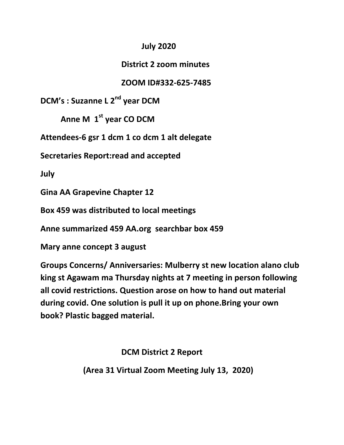## **July 2020**

## **District 2 zoom minutes**

## **ZOOM ID#332-625-7485**

**DCM's : Suzanne L 2nd year DCM**

**Anne M 1st year CO DCM**

**Attendees-6 gsr 1 dcm 1 co dcm 1 alt delegate**

**Secretaries Report:read and accepted**

**July**

**Gina AA Grapevine Chapter 12**

**Box 459 was distributed to local meetings** 

**Anne summarized 459 AA.org searchbar box 459**

**Mary anne concept 3 august**

**Groups Concerns/ Anniversaries: Mulberry st new location alano club king st Agawam ma Thursday nights at 7 meeting in person following all covid restrictions. Question arose on how to hand out material during covid. One solution is pull it up on phone.Bring your own book? Plastic bagged material.**

**DCM District 2 Report**

 **(Area 31 Virtual Zoom Meeting July 13, 2020)**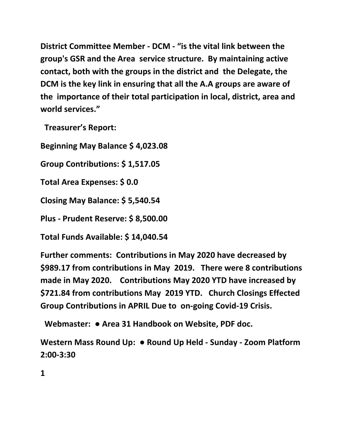**District Committee Member - DCM - "is the vital link between the group's GSR and the Area service structure. By maintaining active contact, both with the groups in the district and the Delegate, the DCM is the key link in ensuring that all the A.A groups are aware of the importance of their total participation in local, district, area and world services."**

**Treasurer's Report:**

**Beginning May Balance \$ 4,023.08**

**Group Contributions: \$ 1,517.05**

**Total Area Expenses: \$ 0.0**

**Closing May Balance: \$ 5,540.54**

**Plus - Prudent Reserve: \$ 8,500.00**

**Total Funds Available: \$ 14,040.54**

**Further comments: Contributions in May 2020 have decreased by \$989.17 from contributions in May 2019. There were 8 contributions made in May 2020. Contributions May 2020 YTD have increased by \$721.84 from contributions May 2019 YTD. Church Closings Effected Group Contributions in APRIL Due to on-going Covid-19 Crisis.**

**Webmaster: ● Area 31 Handbook on Website, PDF doc.**

**Western Mass Round Up: ● Round Up Held - Sunday - Zoom Platform 2:00-3:30**

**1**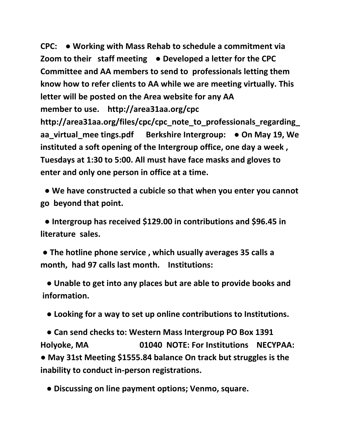**CPC: ● Working with Mass Rehab to schedule a commitment via Zoom to their staff meeting ● Developed a letter for the CPC Committee and AA members to send to professionals letting them know how to refer clients to AA while we are meeting virtually. This letter will be posted on the Area website for any AA member to use. http://area31aa.org/cpc http://area31aa.org/files/cpc/cpc\_note\_to\_professionals\_regarding\_ aa\_virtual\_mee tings.pdf Berkshire Intergroup: ● On May 19, We instituted a soft opening of the Intergroup office, one day a week , Tuesdays at 1:30 to 5:00. All must have face masks and gloves to enter and only one person in office at a time.**

**● We have constructed a cubicle so that when you enter you cannot go beyond that point.**

**● Intergroup has received \$129.00 in contributions and \$96.45 in literature sales.**

**● The hotline phone service , which usually averages 35 calls a month, had 97 calls last month. Institutions:**

**● Unable to get into any places but are able to provide books and information.**

**● Looking for a way to set up online contributions to Institutions.**

**● Can send checks to: Western Mass Intergroup PO Box 1391 Holyoke, MA 01040 NOTE: For Institutions NECYPAA: ● May 31st Meeting \$1555.84 balance On track but struggles is the inability to conduct in-person registrations.**

 **● Discussing on line payment options; Venmo, square.**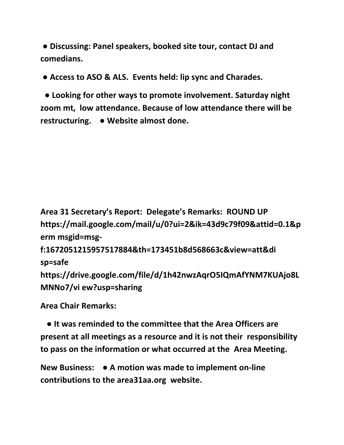**● Discussing: Panel speakers, booked site tour, contact DJ and comedians.** 

**● Access to ASO & ALS. Events held: lip sync and Charades.**

**● Looking for other ways to promote involvement. Saturday night zoom mt, low attendance. Because of low attendance there will be restructuring. ● Website almost done.** 

**Area 31 Secretary's Report: Delegate's Remarks: ROUND UP https://mail.google.com/mail/u/0?ui=2&ik=43d9c79f09&attid=0.1&p erm msgid=msg-**

```
f:1672051215957517884&th=173451b8d568663c&view=att&di 
sp=safe
```
**https://drive.google.com/file/d/1h42nwzAqrO5IQmAfYNM7KUAjo8L MNNo7/vi ew?usp=sharing**

**Area Chair Remarks:**

 **● It was reminded to the committee that the Area Officers are present at all meetings as a resource and it is not their responsibility to pass on the information or what occurred at the Area Meeting.** 

**New Business: ● A motion was made to implement on-line contributions to the area31aa.org website.**